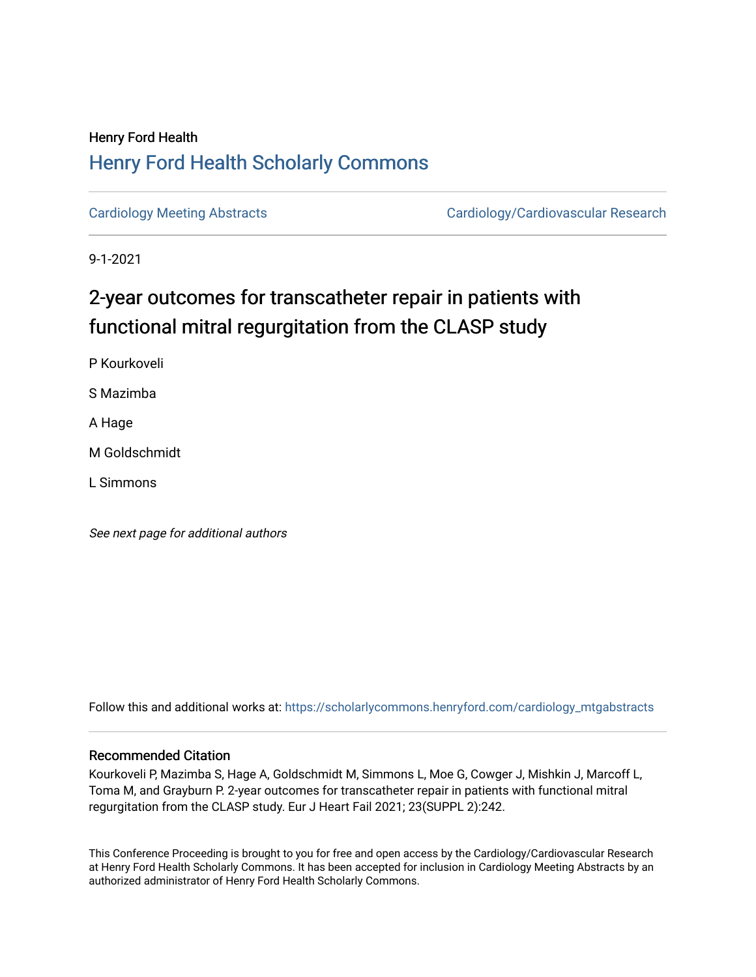## Henry Ford Health [Henry Ford Health Scholarly Commons](https://scholarlycommons.henryford.com/)

[Cardiology Meeting Abstracts](https://scholarlycommons.henryford.com/cardiology_mtgabstracts) [Cardiology/Cardiovascular Research](https://scholarlycommons.henryford.com/cardiology) 

9-1-2021

# 2-year outcomes for transcatheter repair in patients with functional mitral regurgitation from the CLASP study

P Kourkoveli S Mazimba A Hage

M Goldschmidt

L Simmons

See next page for additional authors

Follow this and additional works at: [https://scholarlycommons.henryford.com/cardiology\\_mtgabstracts](https://scholarlycommons.henryford.com/cardiology_mtgabstracts?utm_source=scholarlycommons.henryford.com%2Fcardiology_mtgabstracts%2F308&utm_medium=PDF&utm_campaign=PDFCoverPages) 

## Recommended Citation

Kourkoveli P, Mazimba S, Hage A, Goldschmidt M, Simmons L, Moe G, Cowger J, Mishkin J, Marcoff L, Toma M, and Grayburn P. 2-year outcomes for transcatheter repair in patients with functional mitral regurgitation from the CLASP study. Eur J Heart Fail 2021; 23(SUPPL 2):242.

This Conference Proceeding is brought to you for free and open access by the Cardiology/Cardiovascular Research at Henry Ford Health Scholarly Commons. It has been accepted for inclusion in Cardiology Meeting Abstracts by an authorized administrator of Henry Ford Health Scholarly Commons.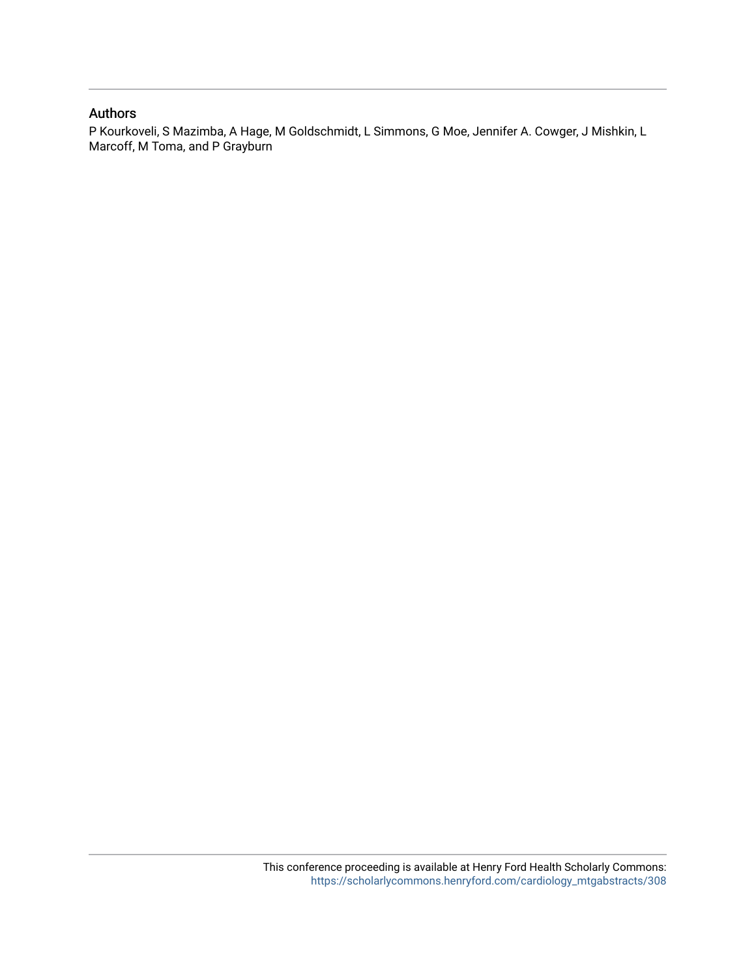## Authors

P Kourkoveli, S Mazimba, A Hage, M Goldschmidt, L Simmons, G Moe, Jennifer A. Cowger, J Mishkin, L Marcoff, M Toma, and P Grayburn